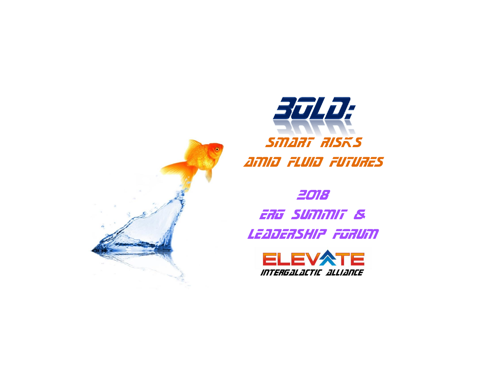



2018 ERG SUMMIT & LEADERShIP FORUM

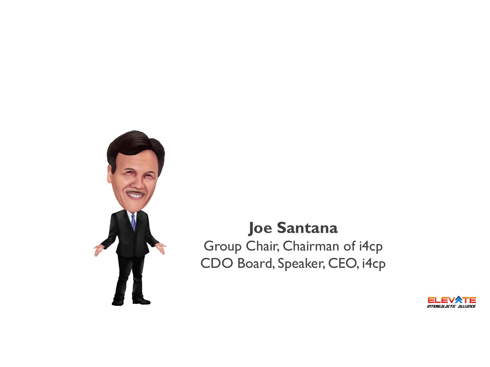

#### **Joe Santana**

Group Chair, Chairman of i4cp CDO Board, Speaker, CEO, i4cp

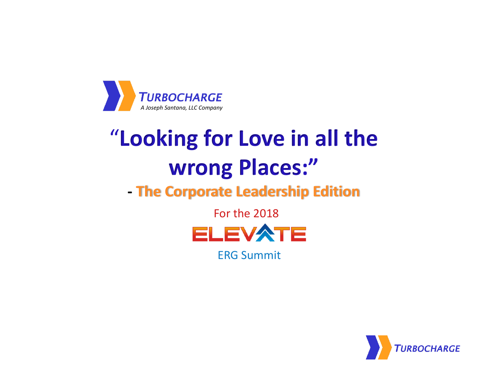

## "**Looking for Love in all the wrong Places:" - The Corporate Leadership Edition**

For the 2018 **ELEVATE** 

ERG Summit

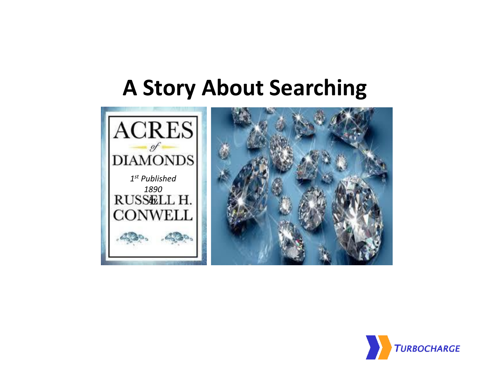## **A Story About Searching**



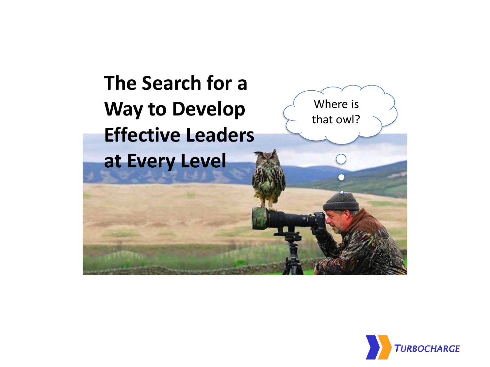

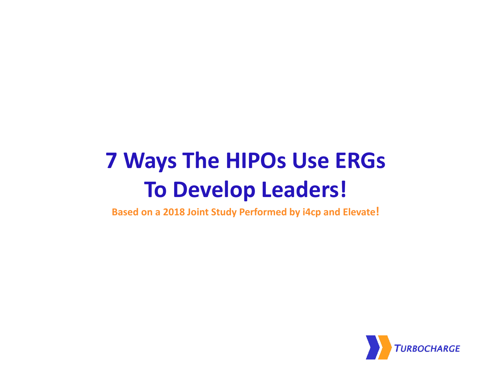## **7 Ways The HIPOs Use ERGs To Develop Leaders!**

**Based on a 2018 Joint Study Performed by i4cp and Elevate!**

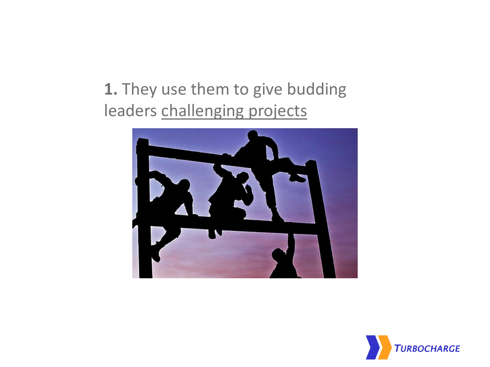**1.** They use them to give budding leaders challenging projects



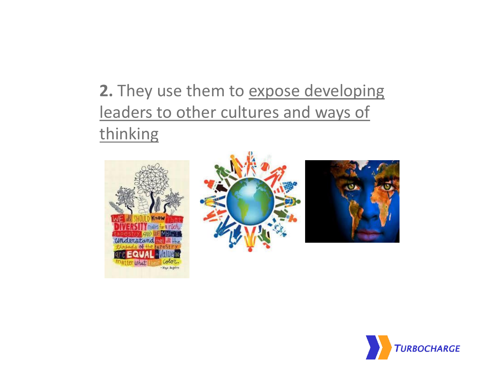#### 2. They use them to expose developing leaders to other cultures and ways of thinking







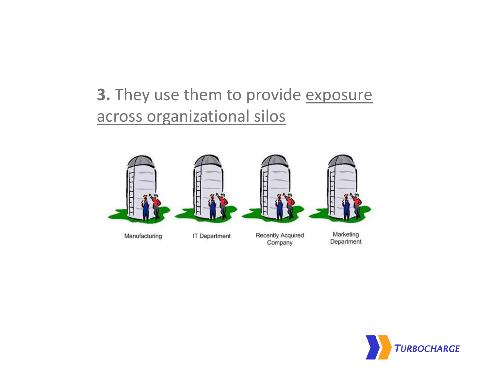#### **3. They use them to provide exposure** across organizational silos



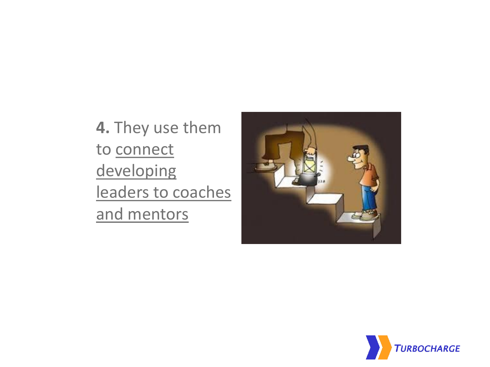**4.** They use them to connect developing leaders to coaches and mentors



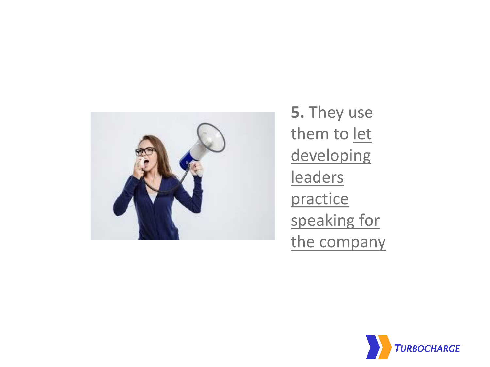

**5.** They use them to let developing leaders practice speaking for the company

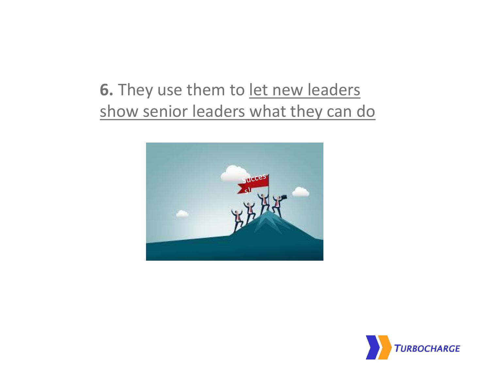#### **6.** They use them to let new leaders show senior leaders what they can do



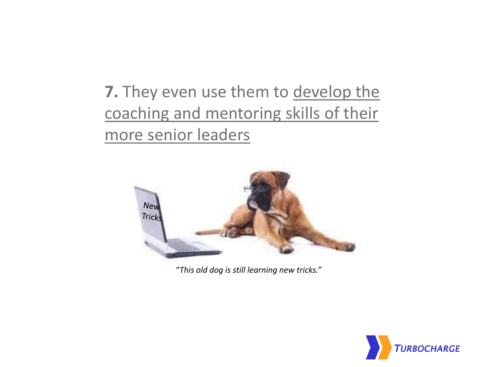#### **7.** They even use them to develop the coaching and mentoring skills of their more senior leaders



*"This old dog is still learning new tricks."*

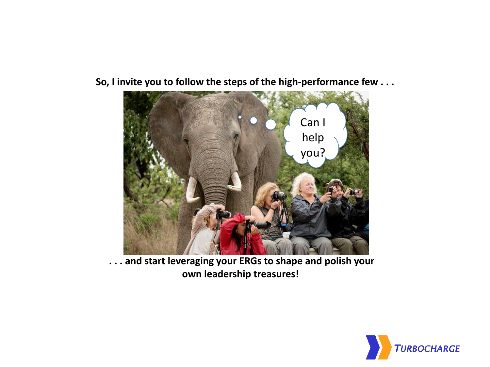

**So, I invite you to follow the steps of the high-performance few . . .**

**. . . and start leveraging your ERGs to shape and polish your own leadership treasures!**

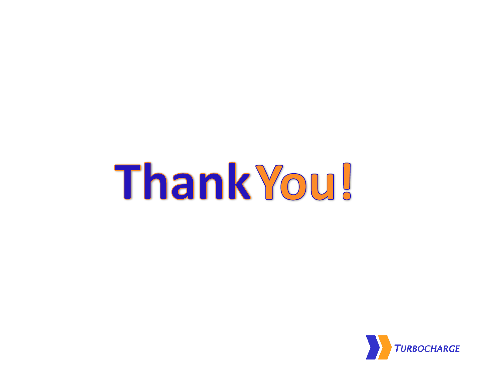# Thank You!